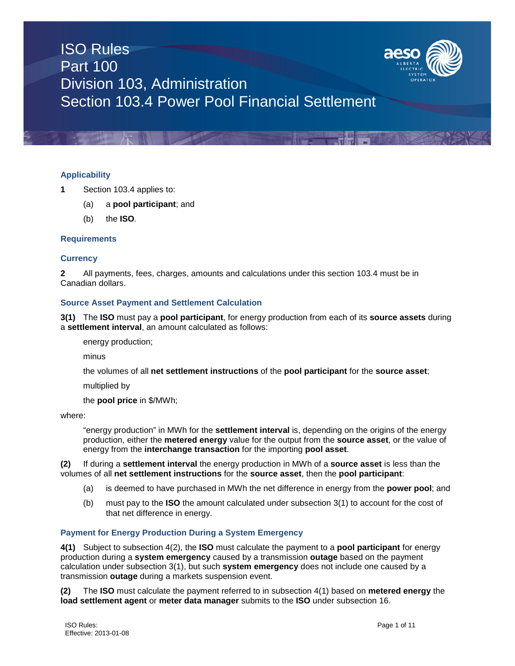

# **Applicability**

- **1** Section 103.4 applies to:
	- (a) a **pool participant**; and
	- (b) the **ISO***.*

# **Requirements**

# **Currency**

**2** All payments, fees, charges, amounts and calculations under this section 103.4 must be in Canadian dollars.

## **Source Asset Payment and Settlement Calculation**

**3(1)** The **ISO** must pay a **pool participant**, for energy production from each of its **source assets** during a **settlement interval**, an amount calculated as follows:

energy production;

minus

the volumes of all **net settlement instructions** of the **pool participant** for the **source asset**;

multiplied by

the **pool price** in \$/MWh;

where:

"energy production" in MWh for the **settlement interval** is, depending on the origins of the energy production, either the **metered energy** value for the output from the **source asset**, or the value of energy from the **interchange transaction** for the importing **pool asset**.

**(2)** If during a **settlement interval** the energy production in MWh of a **source asset** is less than the volumes of all **net settlement instructions** for the **source asset**, then the **pool participant**:

- (a) is deemed to have purchased in MWh the net difference in energy from the **power pool**; and
- (b) must pay to the **ISO** the amount calculated under subsection 3(1) to account for the cost of that net difference in energy.

## **Payment for Energy Production During a System Emergency**

**4(1)** Subject to subsection 4(2), the **ISO** must calculate the payment to a **pool participant** for energy production during a **system emergency** caused by a transmission **outage** based on the payment calculation under subsection 3(1), but such **system emergency** does not include one caused by a transmission **outage** during a markets suspension event.

**(2)** The **ISO** must calculate the payment referred to in subsection 4(1) based on **metered energy** the **load settlement agent** or **meter data manager** submits to the **ISO** under subsection 16.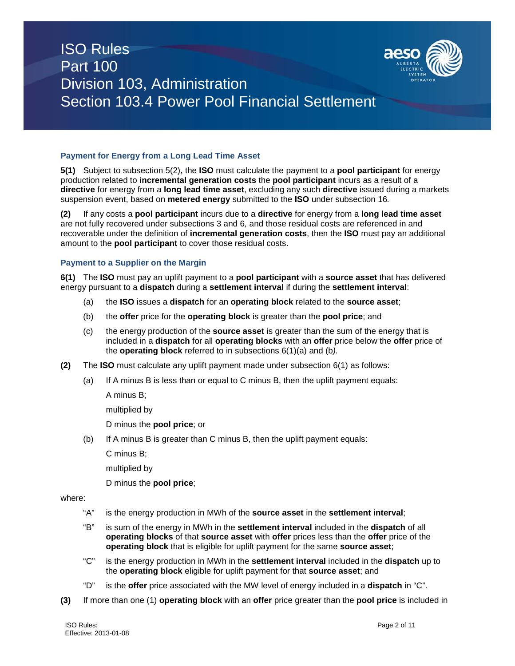

# **Payment for Energy from a Long Lead Time Asset**

**5(1)** Subject to subsection 5(2), the **ISO** must calculate the payment to a **pool participant** for energy production related to **incremental generation costs** the **pool participant** incurs as a result of a **directive** for energy from a **long lead time asset**, excluding any such **directive** issued during a markets suspension event, based on **metered energy** submitted to the **ISO** under subsection 16*.*

**(2)** If any costs a **pool participant** incurs due to a **directive** for energy from a **long lead time asset** are not fully recovered under subsections 3 and 6*,* and those residual costs are referenced in and recoverable under the definition of **incremental generation costs**, then the **ISO** must pay an additional amount to the **pool participant** to cover those residual costs.

# **Payment to a Supplier on the Margin**

**6(1)** The **ISO** must pay an uplift payment to a **pool participant** with a **source asset** that has delivered energy pursuant to a **dispatch** during a **settlement interval** if during the **settlement interval**:

- (a) the **ISO** issues a **dispatch** for an **operating block** related to the **source asset**;
- (b) the **offer** price for the **operating block** is greater than the **pool price**; and
- (c) the energy production of the **source asset** is greater than the sum of the energy that is included in a **dispatch** for all **operating blocks** with an **offer** price below the **offer** price of the **operating block** referred to in subsections 6(1)(a) and (b*).*
- **(2)** The **ISO** must calculate any uplift payment made under subsection 6(1) as follows:
	- (a) If A minus B is less than or equal to C minus B, then the uplift payment equals:

A minus B;

multiplied by

D minus the **pool price**; or

(b) If A minus B is greater than C minus B, then the uplift payment equals:

C minus B;

multiplied by

D minus the **pool price**;

## where:

- "A" is the energy production in MWh of the **source asset** in the **settlement interval**;
- "B" is sum of the energy in MWh in the **settlement interval** included in the **dispatch** of all **operating blocks** of that **source asset** with **offer** prices less than the **offer** price of the **operating block** that is eligible for uplift payment for the same **source asset**;
- "C" is the energy production in MWh in the **settlement interval** included in the **dispatch** up to the **operating block** eligible for uplift payment for that **source asset**; and
- "D" is the **offer** price associated with the MW level of energy included in a **dispatch** in "C".
- **(3)** If more than one (1) **operating block** with an **offer** price greater than the **pool price** is included in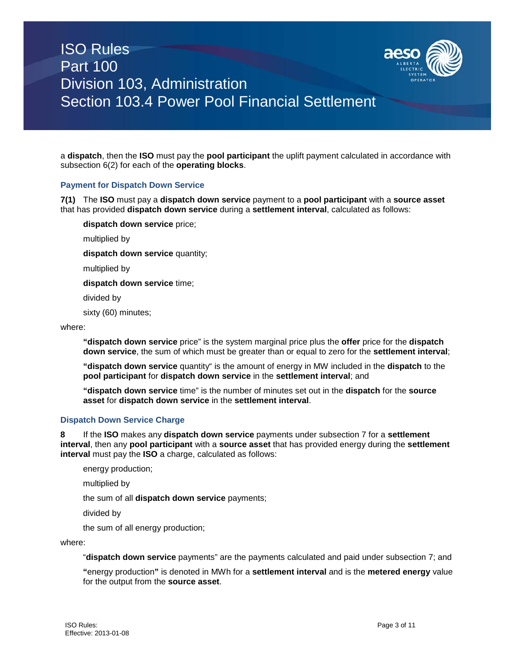

a **dispatch**, then the **ISO** must pay the **pool participant** the uplift payment calculated in accordance with subsection 6(2) for each of the **operating blocks**.

## **Payment for Dispatch Down Service**

**7(1)** The **ISO** must pay a **dispatch down service** payment to a **pool participant** with a **source asset** that has provided **dispatch down service** during a **settlement interval**, calculated as follows:

**dispatch down service** price;

multiplied by

**dispatch down service** quantity;

multiplied by

**dispatch down service** time;

divided by

sixty (60) minutes;

where:

**"dispatch down service** price" is the system marginal price plus the **offer** price for the **dispatch down service**, the sum of which must be greater than or equal to zero for the **settlement interval**;

**"dispatch down service** quantity" is the amount of energy in MW included in the **dispatch** to the **pool participant** for **dispatch down service** in the **settlement interval**; and

**"dispatch down service** time" is the number of minutes set out in the **dispatch** for the **source asset** for **dispatch down service** in the **settlement interval**.

## **Dispatch Down Service Charge**

**8** If the **ISO** makes any **dispatch down service** payments under subsection 7 for a **settlement interval**, then any **pool participant** with a **source asset** that has provided energy during the **settlement interval** must pay the **ISO** a charge, calculated as follows:

energy production;

multiplied by

the sum of all **dispatch down service** payments;

divided by

the sum of all energy production;

where:

"**dispatch down service** payments" are the payments calculated and paid under subsection 7; and

**"**energy production**"** is denoted in MWh for a **settlement interval** and is the **metered energy** value for the output from the **source asset**.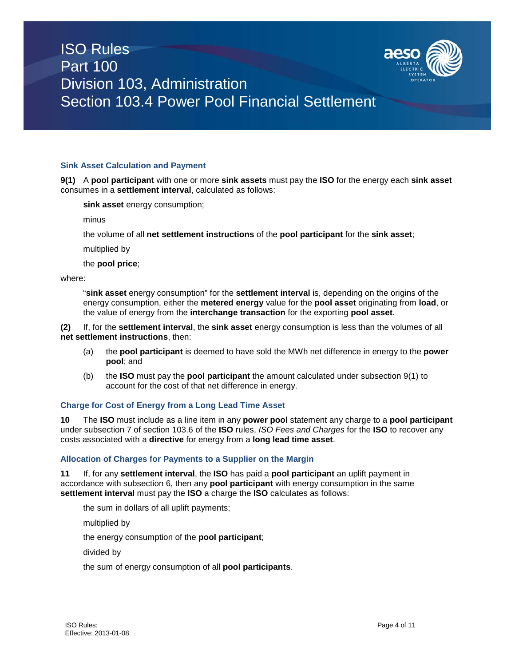

#### **Sink Asset Calculation and Payment**

**9(1)** A **pool participant** with one or more **sink assets** must pay the **ISO** for the energy each **sink asset** consumes in a **settlement interval**, calculated as follows:

**sink asset** energy consumption;

minus

the volume of all **net settlement instructions** of the **pool participant** for the **sink asset**;

multiplied by

the **pool price**;

where:

"**sink asset** energy consumption" for the **settlement interval** is, depending on the origins of the energy consumption, either the **metered energy** value for the **pool asset** originating from **load**, or the value of energy from the **interchange transaction** for the exporting **pool asset**.

**(2)** If, for the **settlement interval**, the **sink asset** energy consumption is less than the volumes of all **net settlement instructions**, then:

- (a) the **pool participant** is deemed to have sold the MWh net difference in energy to the **power pool**; and
- (b) the **ISO** must pay the **pool participant** the amount calculated under subsection 9(1) to account for the cost of that net difference in energy.

#### **Charge for Cost of Energy from a Long Lead Time Asset**

**10** The **ISO** must include as a line item in any **power pool** statement any charge to a **pool participant**  under subsection 7 of section 103.6 of the **ISO** rules, *ISO Fees and Charges* for the **ISO** to recover any costs associated with a **directive** for energy from a **long lead time asset**.

#### **Allocation of Charges for Payments to a Supplier on the Margin**

**11** If, for any **settlement interval**, the **ISO** has paid a **pool participant** an uplift payment in accordance with subsection 6, then any **pool participant** with energy consumption in the same **settlement interval** must pay the **ISO** a charge the **ISO** calculates as follows:

the sum in dollars of all uplift payments;

multiplied by

the energy consumption of the **pool participant**;

divided by

the sum of energy consumption of all **pool participants**.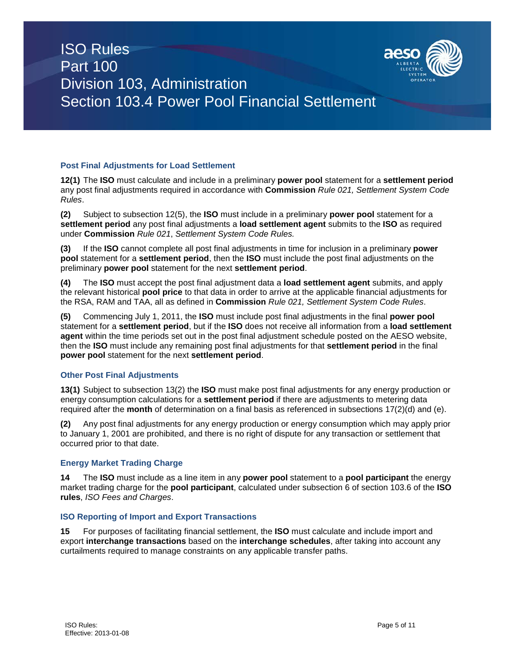

# **Post Final Adjustments for Load Settlement**

**12(1)** The **ISO** must calculate and include in a preliminary **power pool** statement for a **settlement period** any post final adjustments required in accordance with **Commission** *Rule 021, Settlement System Code Rules*.

**(2)** Subject to subsection 12(5), the **ISO** must include in a preliminary **power pool** statement for a **settlement period** any post final adjustments a **load settlement agent** submits to the **ISO** as required under **Commission** *Rule 021*, *Settlement System Code Rules.*

**(3)** If the **ISO** cannot complete all post final adjustments in time for inclusion in a preliminary **power pool** statement for a **settlement period**, then the **ISO** must include the post final adjustments on the preliminary **power pool** statement for the next **settlement period**.

**(4)** The **ISO** must accept the post final adjustment data a **load settlement agent** submits, and apply the relevant historical **pool price** to that data in order to arrive at the applicable financial adjustments for the RSA, RAM and TAA, all as defined in **Commission** *Rule 021, Settlement System Code Rules*.

**(5)** Commencing July 1, 2011, the **ISO** must include post final adjustments in the final **power pool**  statement for a **settlement period**, but if the **ISO** does not receive all information from a **load settlement agent** within the time periods set out in the post final adjustment schedule posted on the AESO website, then the **ISO** must include any remaining post final adjustments for that **settlement period** in the final **power pool** statement for the next **settlement period**.

## **Other Post Final Adjustments**

**13(1)** Subject to subsection 13(2) the **ISO** must make post final adjustments for any energy production or energy consumption calculations for a **settlement period** if there are adjustments to metering data required after the **month** of determination on a final basis as referenced in subsections 17(2)(d) and (e).

**(2)** Any post final adjustments for any energy production or energy consumption which may apply prior to January 1, 2001 are prohibited, and there is no right of dispute for any transaction or settlement that occurred prior to that date.

## **Energy Market Trading Charge**

**14** The **ISO** must include as a line item in any **power pool** statement to a **pool participant** the energy market trading charge for the **pool participant**, calculated under subsection 6 of section 103.6 of the **ISO rules**, *ISO Fees and Charges*.

## **ISO Reporting of Import and Export Transactions**

**15** For purposes of facilitating financial settlement, the **ISO** must calculate and include import and export **interchange transactions** based on the **interchange schedules**, after taking into account any curtailments required to manage constraints on any applicable transfer paths.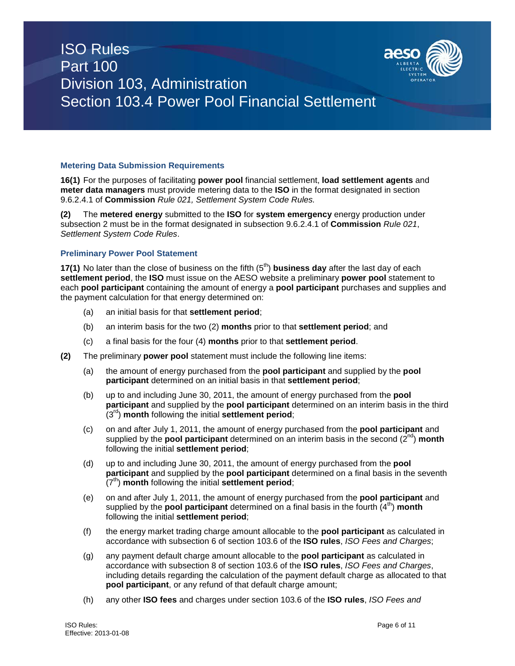

# **Metering Data Submission Requirements**

**16(1)** For the purposes of facilitating **power pool** financial settlement, **load settlement agents** and **meter data managers** must provide metering data to the **ISO** in the format designated in section 9.6.2.4.1 of **Commission** *Rule 021, Settlement System Code Rules.*

**(2)** The **metered energy** submitted to the **ISO** for **system emergency** energy production under subsection 2 must be in the format designated in subsection 9.6.2.4.1 of **Commission** *Rule 021*, *Settlement System Code Rules*.

#### **Preliminary Power Pool Statement**

**17(1)** No later than the close of business on the fifth (5<sup>th</sup>) **business day** after the last day of each **settlement period**, the **ISO** must issue on the AESO website a preliminary **power pool** statement to each **pool participant** containing the amount of energy a **pool participant** purchases and supplies and the payment calculation for that energy determined on:

- (a) an initial basis for that **settlement period**;
- (b) an interim basis for the two (2) **months** prior to that **settlement period**; and
- (c) a final basis for the four (4) **months** prior to that **settlement period**.
- **(2)** The preliminary **power pool** statement must include the following line items:
	- (a) the amount of energy purchased from the **pool participant** and supplied by the **pool participant** determined on an initial basis in that **settlement period**;
	- (b) up to and including June 30, 2011, the amount of energy purchased from the **pool participant** and supplied by the **pool participant** determined on an interim basis in the third (3rd) **month** following the initial **settlement period**;
	- (c) on and after July 1, 2011, the amount of energy purchased from the **pool participant** and supplied by the **pool participant** determined on an interim basis in the second (2<sup>nd</sup>) month following the initial **settlement period**;
	- (d) up to and including June 30, 2011, the amount of energy purchased from the **pool participant** and supplied by the **pool participant** determined on a final basis in the seventh (7<sup>th</sup>) **month** following the initial **settlement period**;
	- (e) on and after July 1, 2011, the amount of energy purchased from the **pool participant** and supplied by the **pool participant** determined on a final basis in the fourth  $(4^{th})$  month following the initial **settlement period**;
	- (f) the energy market trading charge amount allocable to the **pool participant** as calculated in accordance with subsection 6 of section 103.6 of the **ISO rules**, *ISO Fees and Charges*;
	- (g) any payment default charge amount allocable to the **pool participant** as calculated in accordance with subsection 8 of section 103.6 of the **ISO rules**, *ISO Fees and Charges*, including details regarding the calculation of the payment default charge as allocated to that **pool participant**, or any refund of that default charge amount;
	- (h) any other **ISO fees** and charges under section 103.6 of the **ISO rules**, *ISO Fees and*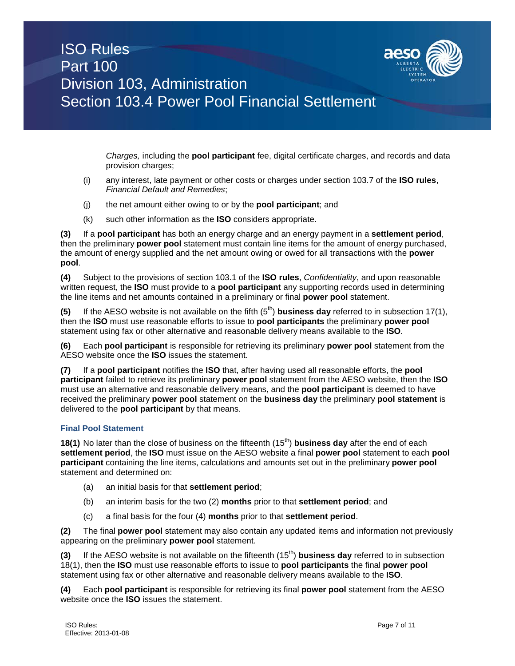

*Charges,* including the **pool participant** fee, digital certificate charges, and records and data provision charges;

- (i) any interest, late payment or other costs or charges under section 103.7 of the **ISO rules**, *Financial Default and Remedies*;
- (j) the net amount either owing to or by the **pool participant**; and
- (k) such other information as the **ISO** considers appropriate.

**(3)** If a **pool participant** has both an energy charge and an energy payment in a **settlement period**, then the preliminary **power pool** statement must contain line items for the amount of energy purchased, the amount of energy supplied and the net amount owing or owed for all transactions with the **power pool**.

**(4)** Subject to the provisions of section 103.1 of the **ISO rules**, *Confidentiality*, and upon reasonable written request, the **ISO** must provide to a **pool participant** any supporting records used in determining the line items and net amounts contained in a preliminary or final **power pool** statement.

**(5)** If the AESO website is not available on the fifth  $(5<sup>th</sup>)$  **business day** referred to in subsection 17(1), then the **ISO** must use reasonable efforts to issue to **pool participants** the preliminary **power pool**  statement using fax or other alternative and reasonable delivery means available to the **ISO**.

**(6)** Each **pool participant** is responsible for retrieving its preliminary **power pool** statement from the AESO website once the **ISO** issues the statement.

**(7)** If a **pool participant** notifies the **ISO** that, after having used all reasonable efforts, the **pool participant** failed to retrieve its preliminary **power pool** statement from the AESO website, then the **ISO** must use an alternative and reasonable delivery means, and the **pool participant** is deemed to have received the preliminary **power pool** statement on the **business day** the preliminary **pool statement** is delivered to the **pool participant** by that means.

## **Final Pool Statement**

**18(1)** No later than the close of business on the fifteenth (15<sup>th</sup>) **business day** after the end of each **settlement period**, the **ISO** must issue on the AESO website a final **power pool** statement to each **pool participant** containing the line items, calculations and amounts set out in the preliminary **power pool** statement and determined on:

- (a) an initial basis for that **settlement period**;
- (b) an interim basis for the two (2) **months** prior to that **settlement period**; and
- (c) a final basis for the four (4) **months** prior to that **settlement period**.

**(2)** The final **power pool** statement may also contain any updated items and information not previously appearing on the preliminary **power pool** statement.

**(3)** If the AESO website is not available on the fifteenth (15th) **business day** referred to in subsection 18(1), then the **ISO** must use reasonable efforts to issue to **pool participants** the final **power pool**  statement using fax or other alternative and reasonable delivery means available to the **ISO**.

**(4)** Each **pool participant** is responsible for retrieving its final **power pool** statement from the AESO website once the **ISO** issues the statement.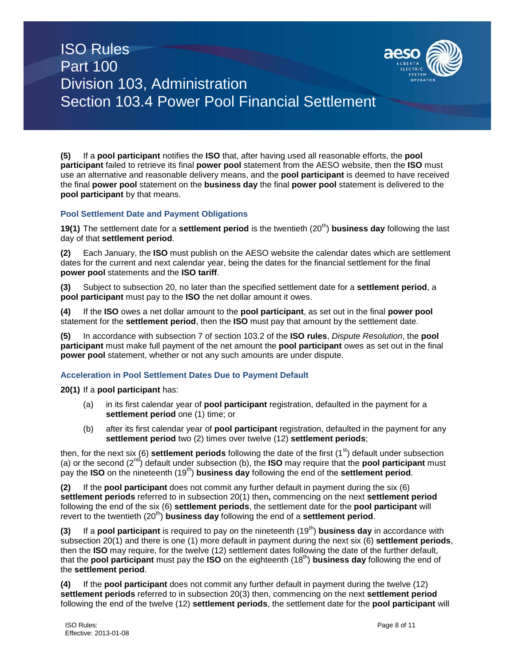

**(5)** If a **pool participant** notifies the **ISO** that, after having used all reasonable efforts, the **pool participant** failed to retrieve its final **power pool** statement from the AESO website, then the **ISO** must use an alternative and reasonable delivery means, and the **pool participant** is deemed to have received the final **power pool** statement on the **business day** the final **power pool** statement is delivered to the **pool participant** by that means.

# **Pool Settlement Date and Payment Obligations**

**19(1)** The settlement date for a **settlement period** is the twentieth (20<sup>th</sup>) **business day** following the last day of that **settlement period**.

**(2)** Each January, the **ISO** must publish on the AESO website the calendar dates which are settlement dates for the current and next calendar year, being the dates for the financial settlement for the final **power pool** statements and the **ISO tariff**.

**(3)** Subject to subsection 20, no later than the specified settlement date for a **settlement period**, a **pool participant** must pay to the **ISO** the net dollar amount it owes.

**(4)** If the **ISO** owes a net dollar amount to the **pool participant**, as set out in the final **power pool**  statement for the **settlement period**, then the **ISO** must pay that amount by the settlement date.

**(5)** In accordance with subsection 7 of section 103.2 of the **ISO rules**, *Dispute Resolution*, the **pool participant** must make full payment of the net amount the **pool participant** owes as set out in the final **power pool** statement, whether or not any such amounts are under dispute.

## **Acceleration in Pool Settlement Dates Due to Payment Default**

**20(1)** If a **pool participant** has:

- (a) in its first calendar year of **pool participant** registration, defaulted in the payment for a **settlement period** one (1) time; or
- (b) after its first calendar year of **pool participant** registration, defaulted in the payment for any **settlement period** two (2) times over twelve (12) **settlement periods**;

then, for the next six (6) **settlement periods** following the date of the first (1<sup>st</sup>) default under subsection (a) or the second (2nd) default under subsection (b), the **ISO** may require that the **pool participant** must pay the **ISO** on the nineteenth (19th) **business day** following the end of the **settlement period**.

**(2)** If the **pool participant** does not commit any further default in payment during the six (6) **settlement periods** referred to in subsection 20(1) then**,** commencing on the next **settlement period** following the end of the six (6) **settlement periods**, the settlement date for the **pool participant** will revert to the twentieth (20<sup>th</sup>) **business day** following the end of a **settlement period**.

**(3)** If a **pool participant** is required to pay on the nineteenth (19<sup>th</sup>) **business day** in accordance with subsection 20(1) and there is one (1) more default in payment during the next six (6) **settlement periods**, then the **ISO** may require, for the twelve (12) settlement dates following the date of the further default, that the **pool participant** must pay the **ISO** on the eighteenth (18th) **business day** following the end of the **settlement period**.

**(4)** If the **pool participant** does not commit any further default in payment during the twelve (12) **settlement periods** referred to in subsection 20(3) then, commencing on the next **settlement period** following the end of the twelve (12) **settlement periods**, the settlement date for the **pool participant** will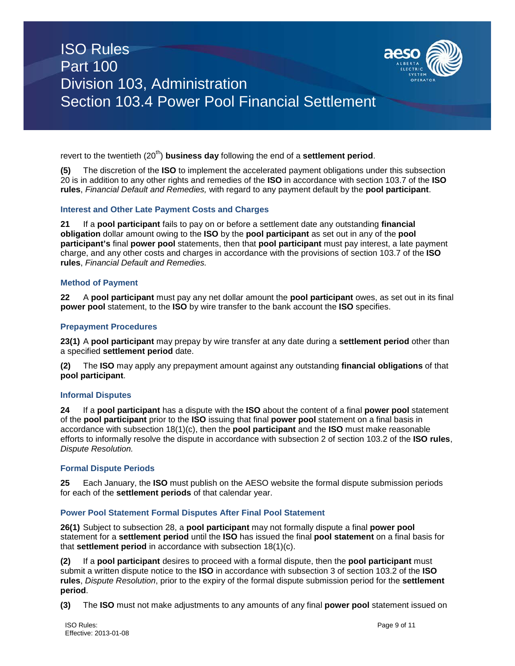

revert to the twentieth (20<sup>th</sup>) **business day** following the end of a **settlement period**.

**(5)** The discretion of the **ISO** to implement the accelerated payment obligations under this subsection 20 is in addition to any other rights and remedies of the **ISO** in accordance with section 103.7 of the **ISO rules**, *Financial Default and Remedies,* with regard to any payment default by the **pool participant**.

#### **Interest and Other Late Payment Costs and Charges**

**21** If a **pool participant** fails to pay on or before a settlement date any outstanding **financial obligation** dollar amount owing to the **ISO** by the **pool participant** as set out in any of the **pool participant's** final **power pool** statements, then that **pool participant** must pay interest, a late payment charge, and any other costs and charges in accordance with the provisions of section 103.7 of the **ISO rules**, *Financial Default and Remedies.*

#### **Method of Payment**

**22** A **pool participant** must pay any net dollar amount the **pool participant** owes, as set out in its final **power pool** statement, to the **ISO** by wire transfer to the bank account the **ISO** specifies.

#### **Prepayment Procedures**

**23(1)** A **pool participant** may prepay by wire transfer at any date during a **settlement period** other than a specified **settlement period** date.

**(2)** The **ISO** may apply any prepayment amount against any outstanding **financial obligations** of that **pool participant**.

#### **Informal Disputes**

**24** If a **pool participant** has a dispute with the **ISO** about the content of a final **power pool** statement of the **pool participant** prior to the **ISO** issuing that final **power pool** statement on a final basis in accordance with subsection 18(1)(c), then the **pool participant** and the **ISO** must make reasonable efforts to informally resolve the dispute in accordance with subsection 2 of section 103.2 of the **ISO rules**, *Dispute Resolution.*

#### **Formal Dispute Periods**

**25** Each January, the **ISO** must publish on the AESO website the formal dispute submission periods for each of the **settlement periods** of that calendar year.

#### **Power Pool Statement Formal Disputes After Final Pool Statement**

**26(1)** Subject to subsection 28, a **pool participant** may not formally dispute a final **power pool** statement for a **settlement period** until the **ISO** has issued the final **pool statement** on a final basis for that **settlement period** in accordance with subsection 18(1)(c).

**(2)** If a **pool participant** desires to proceed with a formal dispute, then the **pool participant** must submit a written dispute notice to the **ISO** in accordance with subsection 3 of section 103.2 of the **ISO rules**, *Dispute Resolution*, prior to the expiry of the formal dispute submission period for the **settlement period**.

**(3)** The **ISO** must not make adjustments to any amounts of any final **power pool** statement issued on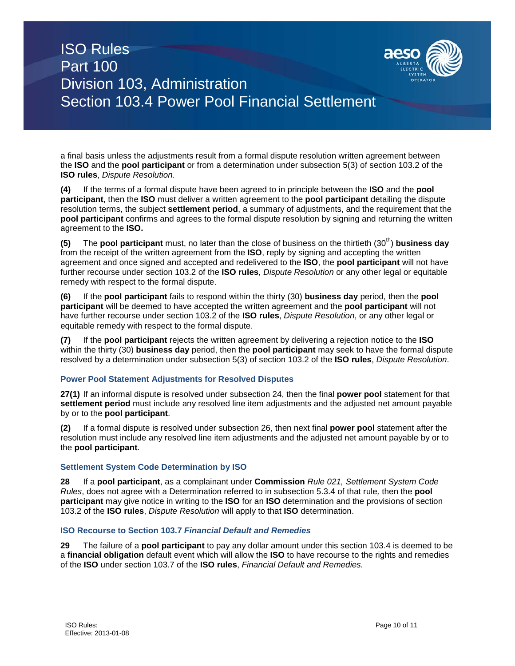

a final basis unless the adjustments result from a formal dispute resolution written agreement between the **ISO** and the **pool participant** or from a determination under subsection 5(3) of section 103.2 of the **ISO rules**, *Dispute Resolution.*

**(4)** If the terms of a formal dispute have been agreed to in principle between the **ISO** and the **pool participant**, then the **ISO** must deliver a written agreement to the **pool participant** detailing the dispute resolution terms, the subject **settlement period**, a summary of adjustments, and the requirement that the **pool participant** confirms and agrees to the formal dispute resolution by signing and returning the written agreement to the **ISO.**

**(5)** The **pool participant** must, no later than the close of business on the thirtieth (30<sup>th</sup>) **business day** from the receipt of the written agreement from the **ISO**, reply by signing and accepting the written agreement and once signed and accepted and redelivered to the **ISO**, the **pool participant** will not have further recourse under section 103.2 of the **ISO rules**, *Dispute Resolution* or any other legal or equitable remedy with respect to the formal dispute.

**(6)** If the **pool participant** fails to respond within the thirty (30) **business day** period, then the **pool participant** will be deemed to have accepted the written agreement and the **pool participant** will not have further recourse under section 103.2 of the **ISO rules**, *Dispute Resolution*, or any other legal or equitable remedy with respect to the formal dispute.

**(7)** If the **pool participant** rejects the written agreement by delivering a rejection notice to the **ISO** within the thirty (30) **business day** period, then the **pool participant** may seek to have the formal dispute resolved by a determination under subsection 5(3) of section 103.2 of the **ISO rules**, *Dispute Resolution*.

## **Power Pool Statement Adjustments for Resolved Disputes**

**27(1)** If an informal dispute is resolved under subsection 24, then the final **power pool** statement for that **settlement period** must include any resolved line item adjustments and the adjusted net amount payable by or to the **pool participant**.

**(2)** If a formal dispute is resolved under subsection 26, then next final **power pool** statement after the resolution must include any resolved line item adjustments and the adjusted net amount payable by or to the **pool participant**.

## **Settlement System Code Determination by ISO**

**28** If a **pool participant**, as a complainant under **Commission** *Rule 021, Settlement System Code Rules*, does not agree with a Determination referred to in subsection 5.3.4 of that rule*,* then the **pool participant** may give notice in writing to the **ISO** for an **ISO** determination and the provisions of section 103.2 of the **ISO rules**, *Dispute Resolution* will apply to that **ISO** determination.

## **ISO Recourse to Section 103.7** *Financial Default and Remedies*

**29** The failure of a **pool participant** to pay any dollar amount under this section 103.4 is deemed to be a **financial obligation** default event which will allow the **ISO** to have recourse to the rights and remedies of the **ISO** under section 103.7 of the **ISO rules**, *Financial Default and Remedies.*